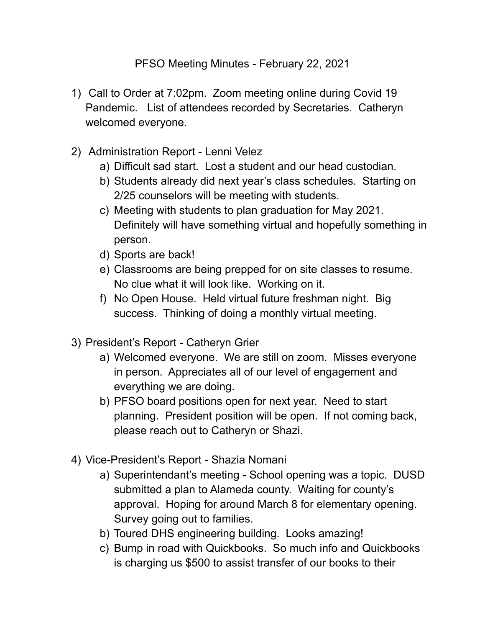## PFSO Meeting Minutes - February 22, 2021

- 1) Call to Order at 7:02pm. Zoom meeting online during Covid 19 Pandemic. List of attendees recorded by Secretaries. Catheryn welcomed everyone.
- 2) Administration Report Lenni Velez
	- a) Difficult sad start. Lost a student and our head custodian.
	- b) Students already did next year's class schedules. Starting on 2/25 counselors will be meeting with students.
	- c) Meeting with students to plan graduation for May 2021. Definitely will have something virtual and hopefully something in person.
	- d) Sports are back!
	- e) Classrooms are being prepped for on site classes to resume. No clue what it will look like. Working on it.
	- f) No Open House. Held virtual future freshman night. Big success. Thinking of doing a monthly virtual meeting.
- 3) President's Report Catheryn Grier
	- a) Welcomed everyone. We are still on zoom. Misses everyone in person. Appreciates all of our level of engagement and everything we are doing.
	- b) PFSO board positions open for next year. Need to start planning. President position will be open. If not coming back, please reach out to Catheryn or Shazi.
- 4) Vice-President's Report Shazia Nomani
	- a) Superintendant's meeting School opening was a topic. DUSD submitted a plan to Alameda county. Waiting for county's approval. Hoping for around March 8 for elementary opening. Survey going out to families.
	- b) Toured DHS engineering building. Looks amazing!
	- c) Bump in road with Quickbooks. So much info and Quickbooks is charging us \$500 to assist transfer of our books to their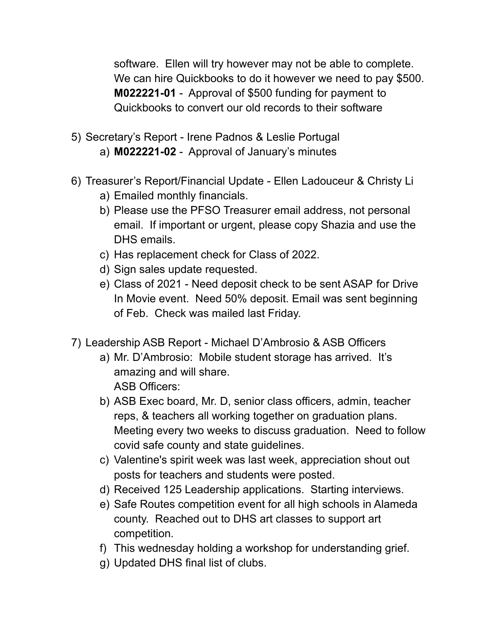software. Ellen will try however may not be able to complete. We can hire Quickbooks to do it however we need to pay \$500. **M022221-01** - Approval of \$500 funding for payment to Quickbooks to convert our old records to their software

- 5) Secretary's Report Irene Padnos & Leslie Portugal a) **M022221-02** - Approval of January's minutes
- 6) Treasurer's Report/Financial Update Ellen Ladouceur & Christy Li
	- a) Emailed monthly financials.
	- b) Please use the PFSO Treasurer email address, not personal email. If important or urgent, please copy Shazia and use the DHS emails.
	- c) Has replacement check for Class of 2022.
	- d) Sign sales update requested.
	- e) Class of 2021 Need deposit check to be sent ASAP for Drive In Movie event. Need 50% deposit. Email was sent beginning of Feb. Check was mailed last Friday.
- 7) Leadership ASB Report Michael D'Ambrosio & ASB Officers
	- a) Mr. D'Ambrosio: Mobile student storage has arrived. It's amazing and will share. ASB Officers:
	- b) ASB Exec board, Mr. D, senior class officers, admin, teacher reps, & teachers all working together on graduation plans. Meeting every two weeks to discuss graduation. Need to follow covid safe county and state guidelines.
	- c) Valentine's spirit week was last week, appreciation shout out posts for teachers and students were posted.
	- d) Received 125 Leadership applications. Starting interviews.
	- e) Safe Routes competition event for all high schools in Alameda county. Reached out to DHS art classes to support art competition.
	- f) This wednesday holding a workshop for understanding grief.
	- g) Updated DHS final list of clubs.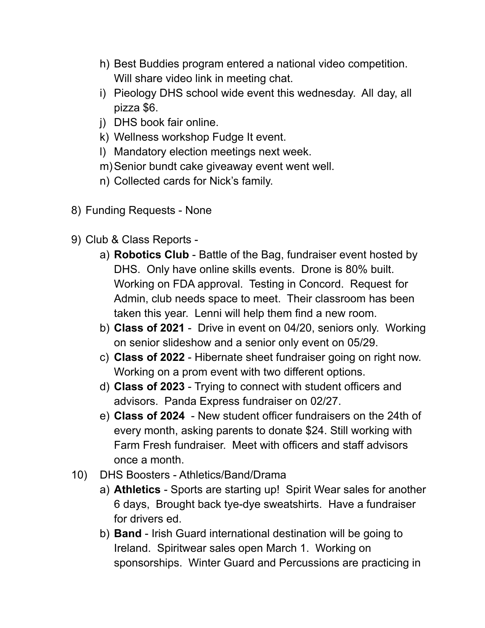- h) Best Buddies program entered a national video competition. Will share video link in meeting chat.
- i) Pieology DHS school wide event this wednesday. All day, all pizza \$6.
- j) DHS book fair online.
- k) Wellness workshop Fudge It event.
- l) Mandatory election meetings next week.
- m)Senior bundt cake giveaway event went well.
- n) Collected cards for Nick's family.
- 8) Funding Requests None
- 9) Club & Class Reports
	- a) **Robotics Club** Battle of the Bag, fundraiser event hosted by DHS. Only have online skills events. Drone is 80% built. Working on FDA approval. Testing in Concord. Request for Admin, club needs space to meet. Their classroom has been taken this year. Lenni will help them find a new room.
	- b) **Class of 2021** Drive in event on 04/20, seniors only. Working on senior slideshow and a senior only event on 05/29.
	- c) **Class of 2022** Hibernate sheet fundraiser going on right now. Working on a prom event with two different options.
	- d) **Class of 2023** Trying to connect with student officers and advisors. Panda Express fundraiser on 02/27.
	- e) **Class of 2024** New student officer fundraisers on the 24th of every month, asking parents to donate \$24. Still working with Farm Fresh fundraiser. Meet with officers and staff advisors once a month.
- 10) DHS Boosters Athletics/Band/Drama
	- a) **Athletics** Sports are starting up! Spirit Wear sales for another 6 days, Brought back tye-dye sweatshirts. Have a fundraiser for drivers ed.
	- b) **Band** Irish Guard international destination will be going to Ireland. Spiritwear sales open March 1. Working on sponsorships. Winter Guard and Percussions are practicing in